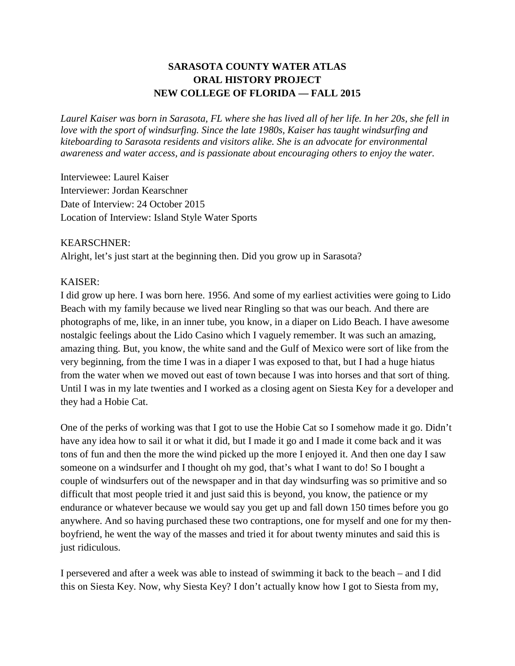# **SARASOTA COUNTY WATER ATLAS ORAL HISTORY PROJECT NEW COLLEGE OF FLORIDA — FALL 2015**

*Laurel Kaiser was born in Sarasota, FL where she has lived all of her life. In her 20s, she fell in love with the sport of windsurfing. Since the late 1980s, Kaiser has taught windsurfing and kiteboarding to Sarasota residents and visitors alike. She is an advocate for environmental awareness and water access, and is passionate about encouraging others to enjoy the water.*

Interviewee: Laurel Kaiser Interviewer: Jordan Kearschner Date of Interview: 24 October 2015 Location of Interview: Island Style Water Sports

### KEARSCHNER:

Alright, let's just start at the beginning then. Did you grow up in Sarasota?

### KAISER:

I did grow up here. I was born here. 1956. And some of my earliest activities were going to Lido Beach with my family because we lived near Ringling so that was our beach. And there are photographs of me, like, in an inner tube, you know, in a diaper on Lido Beach. I have awesome nostalgic feelings about the Lido Casino which I vaguely remember. It was such an amazing, amazing thing. But, you know, the white sand and the Gulf of Mexico were sort of like from the very beginning, from the time I was in a diaper I was exposed to that, but I had a huge hiatus from the water when we moved out east of town because I was into horses and that sort of thing. Until I was in my late twenties and I worked as a closing agent on Siesta Key for a developer and they had a Hobie Cat.

One of the perks of working was that I got to use the Hobie Cat so I somehow made it go. Didn't have any idea how to sail it or what it did, but I made it go and I made it come back and it was tons of fun and then the more the wind picked up the more I enjoyed it. And then one day I saw someone on a windsurfer and I thought oh my god, that's what I want to do! So I bought a couple of windsurfers out of the newspaper and in that day windsurfing was so primitive and so difficult that most people tried it and just said this is beyond, you know, the patience or my endurance or whatever because we would say you get up and fall down 150 times before you go anywhere. And so having purchased these two contraptions, one for myself and one for my thenboyfriend, he went the way of the masses and tried it for about twenty minutes and said this is just ridiculous.

I persevered and after a week was able to instead of swimming it back to the beach – and I did this on Siesta Key. Now, why Siesta Key? I don't actually know how I got to Siesta from my,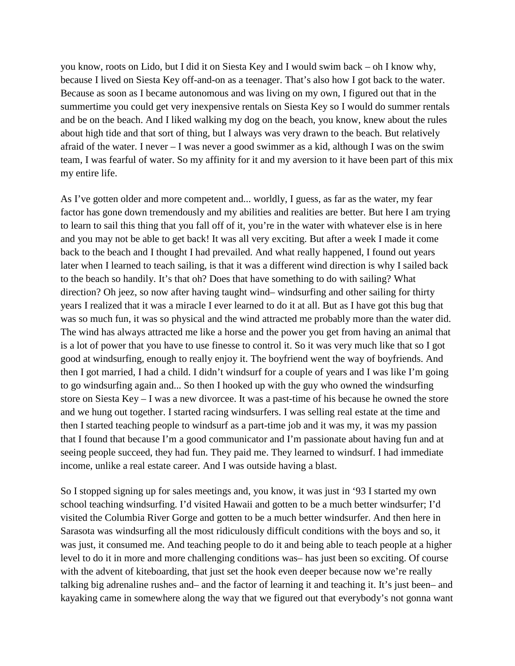you know, roots on Lido, but I did it on Siesta Key and I would swim back – oh I know why, because I lived on Siesta Key off-and-on as a teenager. That's also how I got back to the water. Because as soon as I became autonomous and was living on my own, I figured out that in the summertime you could get very inexpensive rentals on Siesta Key so I would do summer rentals and be on the beach. And I liked walking my dog on the beach, you know, knew about the rules about high tide and that sort of thing, but I always was very drawn to the beach. But relatively afraid of the water. I never – I was never a good swimmer as a kid, although I was on the swim team, I was fearful of water. So my affinity for it and my aversion to it have been part of this mix my entire life.

As I've gotten older and more competent and... worldly, I guess, as far as the water, my fear factor has gone down tremendously and my abilities and realities are better. But here I am trying to learn to sail this thing that you fall off of it, you're in the water with whatever else is in here and you may not be able to get back! It was all very exciting. But after a week I made it come back to the beach and I thought I had prevailed. And what really happened, I found out years later when I learned to teach sailing, is that it was a different wind direction is why I sailed back to the beach so handily. It's that oh? Does that have something to do with sailing? What direction? Oh jeez, so now after having taught wind– windsurfing and other sailing for thirty years I realized that it was a miracle I ever learned to do it at all. But as I have got this bug that was so much fun, it was so physical and the wind attracted me probably more than the water did. The wind has always attracted me like a horse and the power you get from having an animal that is a lot of power that you have to use finesse to control it. So it was very much like that so I got good at windsurfing, enough to really enjoy it. The boyfriend went the way of boyfriends. And then I got married, I had a child. I didn't windsurf for a couple of years and I was like I'm going to go windsurfing again and... So then I hooked up with the guy who owned the windsurfing store on Siesta Key – I was a new divorcee. It was a past-time of his because he owned the store and we hung out together. I started racing windsurfers. I was selling real estate at the time and then I started teaching people to windsurf as a part-time job and it was my, it was my passion that I found that because I'm a good communicator and I'm passionate about having fun and at seeing people succeed, they had fun. They paid me. They learned to windsurf. I had immediate income, unlike a real estate career. And I was outside having a blast.

So I stopped signing up for sales meetings and, you know, it was just in '93 I started my own school teaching windsurfing. I'd visited Hawaii and gotten to be a much better windsurfer; I'd visited the Columbia River Gorge and gotten to be a much better windsurfer. And then here in Sarasota was windsurfing all the most ridiculously difficult conditions with the boys and so, it was just, it consumed me. And teaching people to do it and being able to teach people at a higher level to do it in more and more challenging conditions was– has just been so exciting. Of course with the advent of kiteboarding, that just set the hook even deeper because now we're really talking big adrenaline rushes and– and the factor of learning it and teaching it. It's just been– and kayaking came in somewhere along the way that we figured out that everybody's not gonna want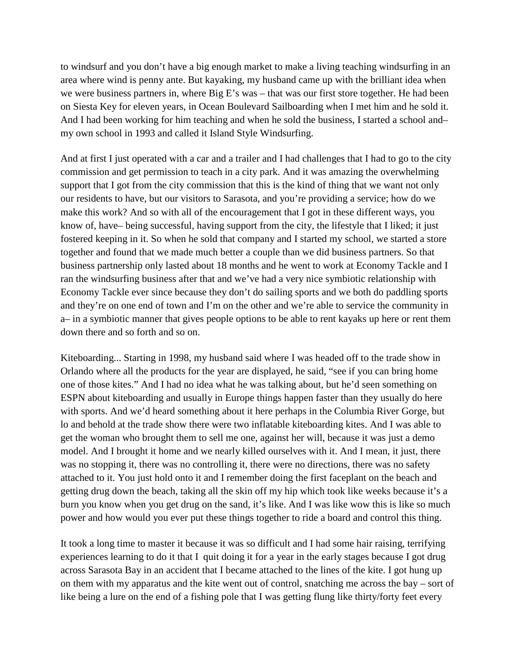to windsurf and you don't have a big enough market to make a living teaching windsurfing in an area where wind is penny ante. But kayaking, my husband came up with the brilliant idea when we were business partners in, where Big E's was – that was our first store together. He had been on Siesta Key for eleven years, in Ocean Boulevard Sailboarding when I met him and he sold it. And I had been working for him teaching and when he sold the business, I started a school and– my own school in 1993 and called it Island Style Windsurfing.

And at first I just operated with a car and a trailer and I had challenges that I had to go to the city commission and get permission to teach in a city park. And it was amazing the overwhelming support that I got from the city commission that this is the kind of thing that we want not only our residents to have, but our visitors to Sarasota, and you're providing a service; how do we make this work? And so with all of the encouragement that I got in these different ways, you know of, have– being successful, having support from the city, the lifestyle that I liked; it just fostered keeping in it. So when he sold that company and I started my school, we started a store together and found that we made much better a couple than we did business partners. So that business partnership only lasted about 18 months and he went to work at Economy Tackle and I ran the windsurfing business after that and we've had a very nice symbiotic relationship with Economy Tackle ever since because they don't do sailing sports and we both do paddling sports and they're on one end of town and I'm on the other and we're able to service the community in a– in a symbiotic manner that gives people options to be able to rent kayaks up here or rent them down there and so forth and so on.

Kiteboarding... Starting in 1998, my husband said where I was headed off to the trade show in Orlando where all the products for the year are displayed, he said, "see if you can bring home one of those kites." And I had no idea what he was talking about, but he'd seen something on ESPN about kiteboarding and usually in Europe things happen faster than they usually do here with sports. And we'd heard something about it here perhaps in the Columbia River Gorge, but lo and behold at the trade show there were two inflatable kiteboarding kites. And I was able to get the woman who brought them to sell me one, against her will, because it was just a demo model. And I brought it home and we nearly killed ourselves with it. And I mean, it just, there was no stopping it, there was no controlling it, there were no directions, there was no safety attached to it. You just hold onto it and I remember doing the first faceplant on the beach and getting drug down the beach, taking all the skin off my hip which took like weeks because it's a burn you know when you get drug on the sand, it's like. And I was like wow this is like so much power and how would you ever put these things together to ride a board and control this thing.

It took a long time to master it because it was so difficult and I had some hair raising, terrifying experiences learning to do it that I quit doing it for a year in the early stages because I got drug across Sarasota Bay in an accident that I became attached to the lines of the kite. I got hung up on them with my apparatus and the kite went out of control, snatching me across the bay – sort of like being a lure on the end of a fishing pole that I was getting flung like thirty/forty feet every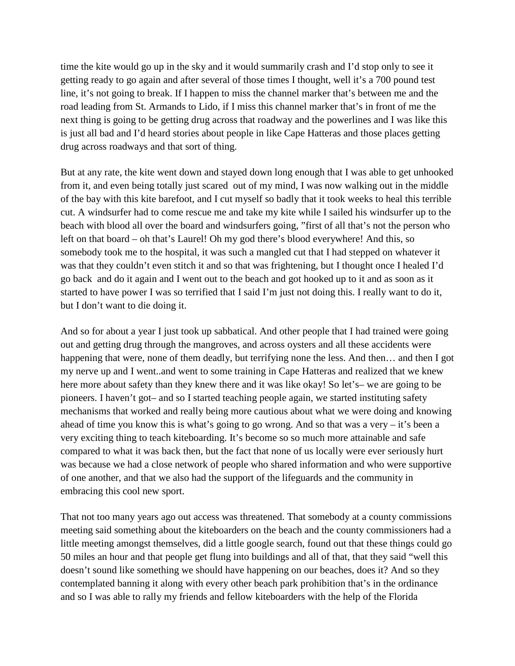time the kite would go up in the sky and it would summarily crash and I'd stop only to see it getting ready to go again and after several of those times I thought, well it's a 700 pound test line, it's not going to break. If I happen to miss the channel marker that's between me and the road leading from St. Armands to Lido, if I miss this channel marker that's in front of me the next thing is going to be getting drug across that roadway and the powerlines and I was like this is just all bad and I'd heard stories about people in like Cape Hatteras and those places getting drug across roadways and that sort of thing.

But at any rate, the kite went down and stayed down long enough that I was able to get unhooked from it, and even being totally just scared out of my mind, I was now walking out in the middle of the bay with this kite barefoot, and I cut myself so badly that it took weeks to heal this terrible cut. A windsurfer had to come rescue me and take my kite while I sailed his windsurfer up to the beach with blood all over the board and windsurfers going, "first of all that's not the person who left on that board – oh that's Laurel! Oh my god there's blood everywhere! And this, so somebody took me to the hospital, it was such a mangled cut that I had stepped on whatever it was that they couldn't even stitch it and so that was frightening, but I thought once I healed I'd go back and do it again and I went out to the beach and got hooked up to it and as soon as it started to have power I was so terrified that I said I'm just not doing this. I really want to do it, but I don't want to die doing it.

And so for about a year I just took up sabbatical. And other people that I had trained were going out and getting drug through the mangroves, and across oysters and all these accidents were happening that were, none of them deadly, but terrifying none the less. And then... and then I got my nerve up and I went..and went to some training in Cape Hatteras and realized that we knew here more about safety than they knew there and it was like okay! So let's– we are going to be pioneers. I haven't got– and so I started teaching people again, we started instituting safety mechanisms that worked and really being more cautious about what we were doing and knowing ahead of time you know this is what's going to go wrong. And so that was a very  $-$  it's been a very exciting thing to teach kiteboarding. It's become so so much more attainable and safe compared to what it was back then, but the fact that none of us locally were ever seriously hurt was because we had a close network of people who shared information and who were supportive of one another, and that we also had the support of the lifeguards and the community in embracing this cool new sport.

That not too many years ago out access was threatened. That somebody at a county commissions meeting said something about the kiteboarders on the beach and the county commissioners had a little meeting amongst themselves, did a little google search, found out that these things could go 50 miles an hour and that people get flung into buildings and all of that, that they said "well this doesn't sound like something we should have happening on our beaches, does it? And so they contemplated banning it along with every other beach park prohibition that's in the ordinance and so I was able to rally my friends and fellow kiteboarders with the help of the Florida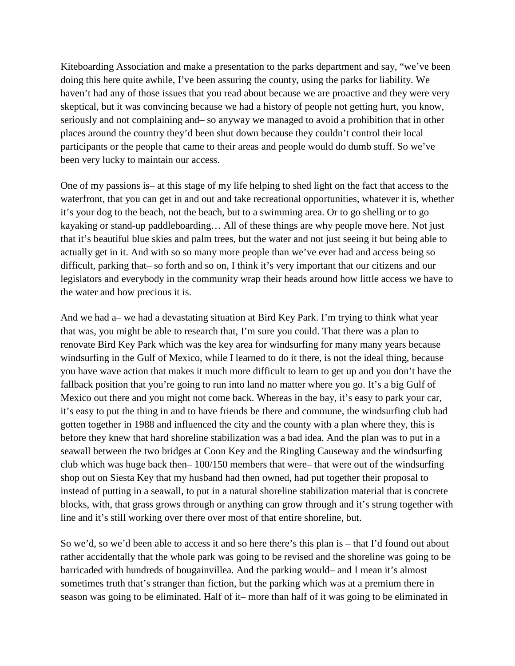Kiteboarding Association and make a presentation to the parks department and say, "we've been doing this here quite awhile, I've been assuring the county, using the parks for liability. We haven't had any of those issues that you read about because we are proactive and they were very skeptical, but it was convincing because we had a history of people not getting hurt, you know, seriously and not complaining and– so anyway we managed to avoid a prohibition that in other places around the country they'd been shut down because they couldn't control their local participants or the people that came to their areas and people would do dumb stuff. So we've been very lucky to maintain our access.

One of my passions is– at this stage of my life helping to shed light on the fact that access to the waterfront, that you can get in and out and take recreational opportunities, whatever it is, whether it's your dog to the beach, not the beach, but to a swimming area. Or to go shelling or to go kayaking or stand-up paddleboarding… All of these things are why people move here. Not just that it's beautiful blue skies and palm trees, but the water and not just seeing it but being able to actually get in it. And with so so many more people than we've ever had and access being so difficult, parking that– so forth and so on, I think it's very important that our citizens and our legislators and everybody in the community wrap their heads around how little access we have to the water and how precious it is.

And we had a– we had a devastating situation at Bird Key Park. I'm trying to think what year that was, you might be able to research that, I'm sure you could. That there was a plan to renovate Bird Key Park which was the key area for windsurfing for many many years because windsurfing in the Gulf of Mexico, while I learned to do it there, is not the ideal thing, because you have wave action that makes it much more difficult to learn to get up and you don't have the fallback position that you're going to run into land no matter where you go. It's a big Gulf of Mexico out there and you might not come back. Whereas in the bay, it's easy to park your car, it's easy to put the thing in and to have friends be there and commune, the windsurfing club had gotten together in 1988 and influenced the city and the county with a plan where they, this is before they knew that hard shoreline stabilization was a bad idea. And the plan was to put in a seawall between the two bridges at Coon Key and the Ringling Causeway and the windsurfing club which was huge back then– 100/150 members that were– that were out of the windsurfing shop out on Siesta Key that my husband had then owned, had put together their proposal to instead of putting in a seawall, to put in a natural shoreline stabilization material that is concrete blocks, with, that grass grows through or anything can grow through and it's strung together with line and it's still working over there over most of that entire shoreline, but.

So we'd, so we'd been able to access it and so here there's this plan is – that I'd found out about rather accidentally that the whole park was going to be revised and the shoreline was going to be barricaded with hundreds of bougainvillea. And the parking would– and I mean it's almost sometimes truth that's stranger than fiction, but the parking which was at a premium there in season was going to be eliminated. Half of it– more than half of it was going to be eliminated in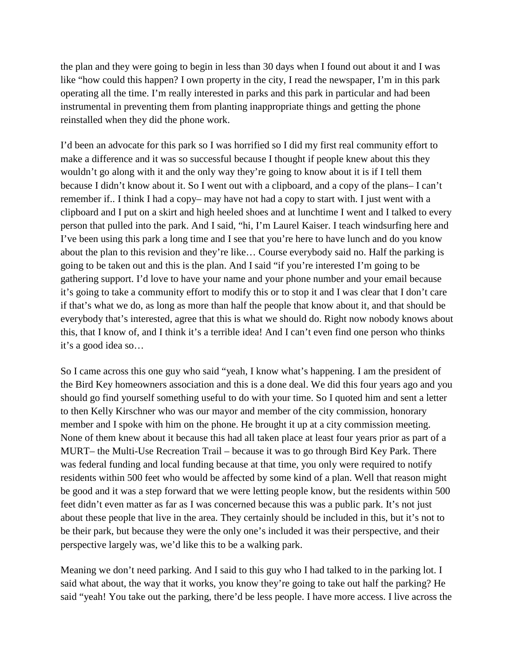the plan and they were going to begin in less than 30 days when I found out about it and I was like "how could this happen? I own property in the city, I read the newspaper, I'm in this park operating all the time. I'm really interested in parks and this park in particular and had been instrumental in preventing them from planting inappropriate things and getting the phone reinstalled when they did the phone work.

I'd been an advocate for this park so I was horrified so I did my first real community effort to make a difference and it was so successful because I thought if people knew about this they wouldn't go along with it and the only way they're going to know about it is if I tell them because I didn't know about it. So I went out with a clipboard, and a copy of the plans– I can't remember if.. I think I had a copy– may have not had a copy to start with. I just went with a clipboard and I put on a skirt and high heeled shoes and at lunchtime I went and I talked to every person that pulled into the park. And I said, "hi, I'm Laurel Kaiser. I teach windsurfing here and I've been using this park a long time and I see that you're here to have lunch and do you know about the plan to this revision and they're like… Course everybody said no. Half the parking is going to be taken out and this is the plan. And I said "if you're interested I'm going to be gathering support. I'd love to have your name and your phone number and your email because it's going to take a community effort to modify this or to stop it and I was clear that I don't care if that's what we do, as long as more than half the people that know about it, and that should be everybody that's interested, agree that this is what we should do. Right now nobody knows about this, that I know of, and I think it's a terrible idea! And I can't even find one person who thinks it's a good idea so…

So I came across this one guy who said "yeah, I know what's happening. I am the president of the Bird Key homeowners association and this is a done deal. We did this four years ago and you should go find yourself something useful to do with your time. So I quoted him and sent a letter to then Kelly Kirschner who was our mayor and member of the city commission, honorary member and I spoke with him on the phone. He brought it up at a city commission meeting. None of them knew about it because this had all taken place at least four years prior as part of a MURT– the Multi-Use Recreation Trail – because it was to go through Bird Key Park. There was federal funding and local funding because at that time, you only were required to notify residents within 500 feet who would be affected by some kind of a plan. Well that reason might be good and it was a step forward that we were letting people know, but the residents within 500 feet didn't even matter as far as I was concerned because this was a public park. It's not just about these people that live in the area. They certainly should be included in this, but it's not to be their park, but because they were the only one's included it was their perspective, and their perspective largely was, we'd like this to be a walking park.

Meaning we don't need parking. And I said to this guy who I had talked to in the parking lot. I said what about, the way that it works, you know they're going to take out half the parking? He said "yeah! You take out the parking, there'd be less people. I have more access. I live across the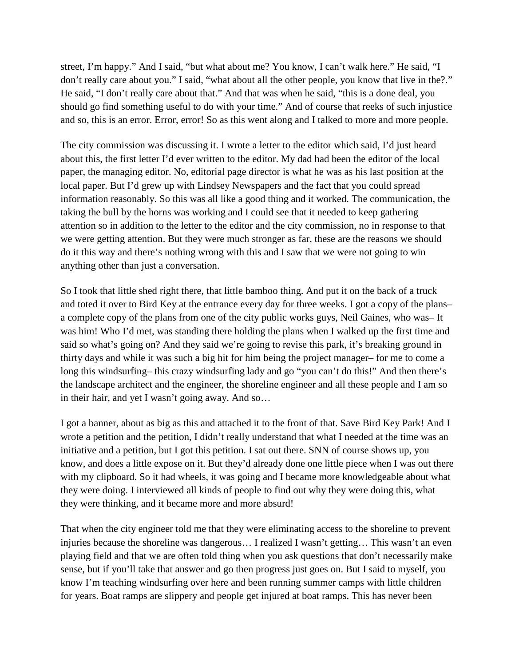street, I'm happy." And I said, "but what about me? You know, I can't walk here." He said, "I don't really care about you." I said, "what about all the other people, you know that live in the?." He said, "I don't really care about that." And that was when he said, "this is a done deal, you should go find something useful to do with your time." And of course that reeks of such injustice and so, this is an error. Error, error! So as this went along and I talked to more and more people.

The city commission was discussing it. I wrote a letter to the editor which said, I'd just heard about this, the first letter I'd ever written to the editor. My dad had been the editor of the local paper, the managing editor. No, editorial page director is what he was as his last position at the local paper. But I'd grew up with Lindsey Newspapers and the fact that you could spread information reasonably. So this was all like a good thing and it worked. The communication, the taking the bull by the horns was working and I could see that it needed to keep gathering attention so in addition to the letter to the editor and the city commission, no in response to that we were getting attention. But they were much stronger as far, these are the reasons we should do it this way and there's nothing wrong with this and I saw that we were not going to win anything other than just a conversation.

So I took that little shed right there, that little bamboo thing. And put it on the back of a truck and toted it over to Bird Key at the entrance every day for three weeks. I got a copy of the plans– a complete copy of the plans from one of the city public works guys, Neil Gaines, who was– It was him! Who I'd met, was standing there holding the plans when I walked up the first time and said so what's going on? And they said we're going to revise this park, it's breaking ground in thirty days and while it was such a big hit for him being the project manager– for me to come a long this windsurfing– this crazy windsurfing lady and go "you can't do this!" And then there's the landscape architect and the engineer, the shoreline engineer and all these people and I am so in their hair, and yet I wasn't going away. And so…

I got a banner, about as big as this and attached it to the front of that. Save Bird Key Park! And I wrote a petition and the petition, I didn't really understand that what I needed at the time was an initiative and a petition, but I got this petition. I sat out there. SNN of course shows up, you know, and does a little expose on it. But they'd already done one little piece when I was out there with my clipboard. So it had wheels, it was going and I became more knowledgeable about what they were doing. I interviewed all kinds of people to find out why they were doing this, what they were thinking, and it became more and more absurd!

That when the city engineer told me that they were eliminating access to the shoreline to prevent injuries because the shoreline was dangerous… I realized I wasn't getting… This wasn't an even playing field and that we are often told thing when you ask questions that don't necessarily make sense, but if you'll take that answer and go then progress just goes on. But I said to myself, you know I'm teaching windsurfing over here and been running summer camps with little children for years. Boat ramps are slippery and people get injured at boat ramps. This has never been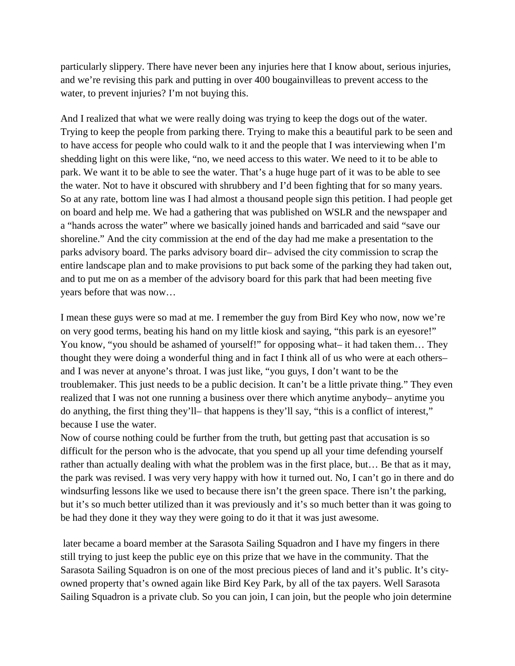particularly slippery. There have never been any injuries here that I know about, serious injuries, and we're revising this park and putting in over 400 bougainvilleas to prevent access to the water, to prevent injuries? I'm not buying this.

And I realized that what we were really doing was trying to keep the dogs out of the water. Trying to keep the people from parking there. Trying to make this a beautiful park to be seen and to have access for people who could walk to it and the people that I was interviewing when I'm shedding light on this were like, "no, we need access to this water. We need to it to be able to park. We want it to be able to see the water. That's a huge huge part of it was to be able to see the water. Not to have it obscured with shrubbery and I'd been fighting that for so many years. So at any rate, bottom line was I had almost a thousand people sign this petition. I had people get on board and help me. We had a gathering that was published on WSLR and the newspaper and a "hands across the water" where we basically joined hands and barricaded and said "save our shoreline." And the city commission at the end of the day had me make a presentation to the parks advisory board. The parks advisory board dir– advised the city commission to scrap the entire landscape plan and to make provisions to put back some of the parking they had taken out, and to put me on as a member of the advisory board for this park that had been meeting five years before that was now…

I mean these guys were so mad at me. I remember the guy from Bird Key who now, now we're on very good terms, beating his hand on my little kiosk and saying, "this park is an eyesore!" You know, "you should be ashamed of yourself!" for opposing what– it had taken them... They thought they were doing a wonderful thing and in fact I think all of us who were at each others– and I was never at anyone's throat. I was just like, "you guys, I don't want to be the troublemaker. This just needs to be a public decision. It can't be a little private thing." They even realized that I was not one running a business over there which anytime anybody– anytime you do anything, the first thing they'll– that happens is they'll say, "this is a conflict of interest," because I use the water.

Now of course nothing could be further from the truth, but getting past that accusation is so difficult for the person who is the advocate, that you spend up all your time defending yourself rather than actually dealing with what the problem was in the first place, but… Be that as it may, the park was revised. I was very very happy with how it turned out. No, I can't go in there and do windsurfing lessons like we used to because there isn't the green space. There isn't the parking, but it's so much better utilized than it was previously and it's so much better than it was going to be had they done it they way they were going to do it that it was just awesome.

later became a board member at the Sarasota Sailing Squadron and I have my fingers in there still trying to just keep the public eye on this prize that we have in the community. That the Sarasota Sailing Squadron is on one of the most precious pieces of land and it's public. It's cityowned property that's owned again like Bird Key Park, by all of the tax payers. Well Sarasota Sailing Squadron is a private club. So you can join, I can join, but the people who join determine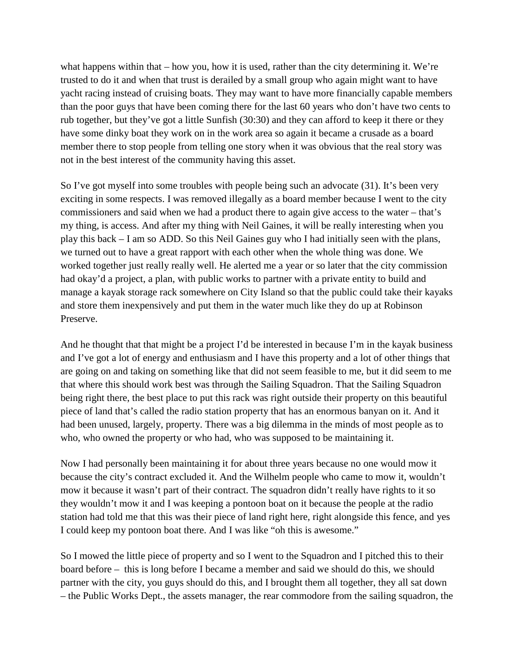what happens within that  $-$  how you, how it is used, rather than the city determining it. We're trusted to do it and when that trust is derailed by a small group who again might want to have yacht racing instead of cruising boats. They may want to have more financially capable members than the poor guys that have been coming there for the last 60 years who don't have two cents to rub together, but they've got a little Sunfish (30:30) and they can afford to keep it there or they have some dinky boat they work on in the work area so again it became a crusade as a board member there to stop people from telling one story when it was obvious that the real story was not in the best interest of the community having this asset.

So I've got myself into some troubles with people being such an advocate (31). It's been very exciting in some respects. I was removed illegally as a board member because I went to the city commissioners and said when we had a product there to again give access to the water – that's my thing, is access. And after my thing with Neil Gaines, it will be really interesting when you play this back – I am so ADD. So this Neil Gaines guy who I had initially seen with the plans, we turned out to have a great rapport with each other when the whole thing was done. We worked together just really really well. He alerted me a year or so later that the city commission had okay'd a project, a plan, with public works to partner with a private entity to build and manage a kayak storage rack somewhere on City Island so that the public could take their kayaks and store them inexpensively and put them in the water much like they do up at Robinson Preserve.

And he thought that that might be a project I'd be interested in because I'm in the kayak business and I've got a lot of energy and enthusiasm and I have this property and a lot of other things that are going on and taking on something like that did not seem feasible to me, but it did seem to me that where this should work best was through the Sailing Squadron. That the Sailing Squadron being right there, the best place to put this rack was right outside their property on this beautiful piece of land that's called the radio station property that has an enormous banyan on it. And it had been unused, largely, property. There was a big dilemma in the minds of most people as to who, who owned the property or who had, who was supposed to be maintaining it.

Now I had personally been maintaining it for about three years because no one would mow it because the city's contract excluded it. And the Wilhelm people who came to mow it, wouldn't mow it because it wasn't part of their contract. The squadron didn't really have rights to it so they wouldn't mow it and I was keeping a pontoon boat on it because the people at the radio station had told me that this was their piece of land right here, right alongside this fence, and yes I could keep my pontoon boat there. And I was like "oh this is awesome."

So I mowed the little piece of property and so I went to the Squadron and I pitched this to their board before – this is long before I became a member and said we should do this, we should partner with the city, you guys should do this, and I brought them all together, they all sat down – the Public Works Dept., the assets manager, the rear commodore from the sailing squadron, the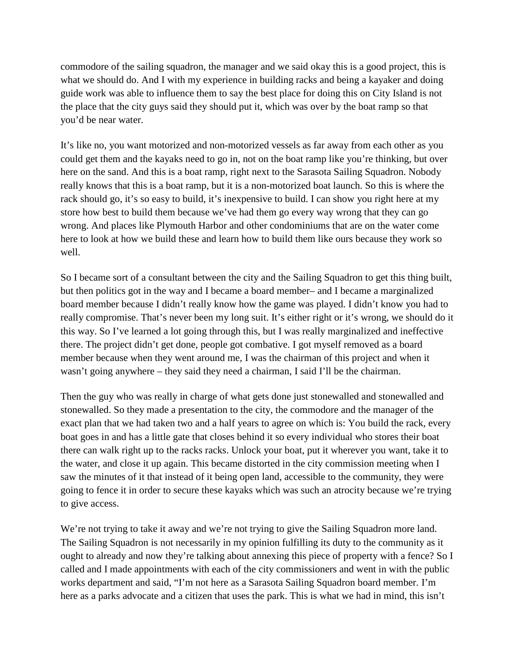commodore of the sailing squadron, the manager and we said okay this is a good project, this is what we should do. And I with my experience in building racks and being a kayaker and doing guide work was able to influence them to say the best place for doing this on City Island is not the place that the city guys said they should put it, which was over by the boat ramp so that you'd be near water.

It's like no, you want motorized and non-motorized vessels as far away from each other as you could get them and the kayaks need to go in, not on the boat ramp like you're thinking, but over here on the sand. And this is a boat ramp, right next to the Sarasota Sailing Squadron. Nobody really knows that this is a boat ramp, but it is a non-motorized boat launch. So this is where the rack should go, it's so easy to build, it's inexpensive to build. I can show you right here at my store how best to build them because we've had them go every way wrong that they can go wrong. And places like Plymouth Harbor and other condominiums that are on the water come here to look at how we build these and learn how to build them like ours because they work so well.

So I became sort of a consultant between the city and the Sailing Squadron to get this thing built, but then politics got in the way and I became a board member– and I became a marginalized board member because I didn't really know how the game was played. I didn't know you had to really compromise. That's never been my long suit. It's either right or it's wrong, we should do it this way. So I've learned a lot going through this, but I was really marginalized and ineffective there. The project didn't get done, people got combative. I got myself removed as a board member because when they went around me, I was the chairman of this project and when it wasn't going anywhere – they said they need a chairman, I said I'll be the chairman.

Then the guy who was really in charge of what gets done just stonewalled and stonewalled and stonewalled. So they made a presentation to the city, the commodore and the manager of the exact plan that we had taken two and a half years to agree on which is: You build the rack, every boat goes in and has a little gate that closes behind it so every individual who stores their boat there can walk right up to the racks racks. Unlock your boat, put it wherever you want, take it to the water, and close it up again. This became distorted in the city commission meeting when I saw the minutes of it that instead of it being open land, accessible to the community, they were going to fence it in order to secure these kayaks which was such an atrocity because we're trying to give access.

We're not trying to take it away and we're not trying to give the Sailing Squadron more land. The Sailing Squadron is not necessarily in my opinion fulfilling its duty to the community as it ought to already and now they're talking about annexing this piece of property with a fence? So I called and I made appointments with each of the city commissioners and went in with the public works department and said, "I'm not here as a Sarasota Sailing Squadron board member. I'm here as a parks advocate and a citizen that uses the park. This is what we had in mind, this isn't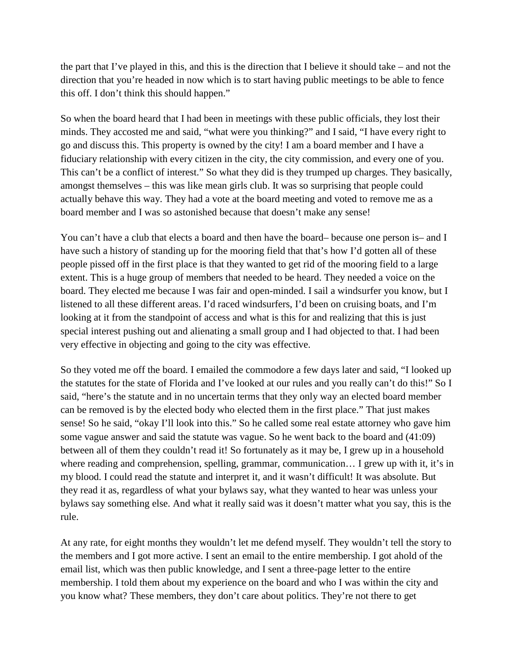the part that I've played in this, and this is the direction that I believe it should take – and not the direction that you're headed in now which is to start having public meetings to be able to fence this off. I don't think this should happen."

So when the board heard that I had been in meetings with these public officials, they lost their minds. They accosted me and said, "what were you thinking?" and I said, "I have every right to go and discuss this. This property is owned by the city! I am a board member and I have a fiduciary relationship with every citizen in the city, the city commission, and every one of you. This can't be a conflict of interest." So what they did is they trumped up charges. They basically, amongst themselves – this was like mean girls club. It was so surprising that people could actually behave this way. They had a vote at the board meeting and voted to remove me as a board member and I was so astonished because that doesn't make any sense!

You can't have a club that elects a board and then have the board– because one person is– and I have such a history of standing up for the mooring field that that's how I'd gotten all of these people pissed off in the first place is that they wanted to get rid of the mooring field to a large extent. This is a huge group of members that needed to be heard. They needed a voice on the board. They elected me because I was fair and open-minded. I sail a windsurfer you know, but I listened to all these different areas. I'd raced windsurfers, I'd been on cruising boats, and I'm looking at it from the standpoint of access and what is this for and realizing that this is just special interest pushing out and alienating a small group and I had objected to that. I had been very effective in objecting and going to the city was effective.

So they voted me off the board. I emailed the commodore a few days later and said, "I looked up the statutes for the state of Florida and I've looked at our rules and you really can't do this!" So I said, "here's the statute and in no uncertain terms that they only way an elected board member can be removed is by the elected body who elected them in the first place." That just makes sense! So he said, "okay I'll look into this." So he called some real estate attorney who gave him some vague answer and said the statute was vague. So he went back to the board and (41:09) between all of them they couldn't read it! So fortunately as it may be, I grew up in a household where reading and comprehension, spelling, grammar, communication… I grew up with it, it's in my blood. I could read the statute and interpret it, and it wasn't difficult! It was absolute. But they read it as, regardless of what your bylaws say, what they wanted to hear was unless your bylaws say something else. And what it really said was it doesn't matter what you say, this is the rule.

At any rate, for eight months they wouldn't let me defend myself. They wouldn't tell the story to the members and I got more active. I sent an email to the entire membership. I got ahold of the email list, which was then public knowledge, and I sent a three-page letter to the entire membership. I told them about my experience on the board and who I was within the city and you know what? These members, they don't care about politics. They're not there to get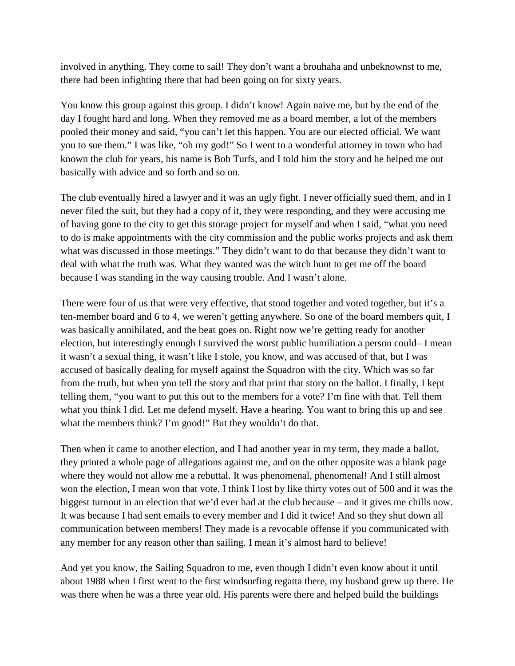involved in anything. They come to sail! They don't want a brouhaha and unbeknownst to me, there had been infighting there that had been going on for sixty years.

You know this group against this group. I didn't know! Again naive me, but by the end of the day I fought hard and long. When they removed me as a board member, a lot of the members pooled their money and said, "you can't let this happen. You are our elected official. We want you to sue them." I was like, "oh my god!" So I went to a wonderful attorney in town who had known the club for years, his name is Bob Turfs, and I told him the story and he helped me out basically with advice and so forth and so on.

The club eventually hired a lawyer and it was an ugly fight. I never officially sued them, and in I never filed the suit, but they had a copy of it, they were responding, and they were accusing me of having gone to the city to get this storage project for myself and when I said, "what you need to do is make appointments with the city commission and the public works projects and ask them what was discussed in those meetings." They didn't want to do that because they didn't want to deal with what the truth was. What they wanted was the witch hunt to get me off the board because I was standing in the way causing trouble. And I wasn't alone.

There were four of us that were very effective, that stood together and voted together, but it's a ten-member board and 6 to 4, we weren't getting anywhere. So one of the board members quit, I was basically annihilated, and the beat goes on. Right now we're getting ready for another election, but interestingly enough I survived the worst public humiliation a person could– I mean it wasn't a sexual thing, it wasn't like I stole, you know, and was accused of that, but I was accused of basically dealing for myself against the Squadron with the city. Which was so far from the truth, but when you tell the story and that print that story on the ballot. I finally, I kept telling them, "you want to put this out to the members for a vote? I'm fine with that. Tell them what you think I did. Let me defend myself. Have a hearing. You want to bring this up and see what the members think? I'm good!" But they wouldn't do that.

Then when it came to another election, and I had another year in my term, they made a ballot, they printed a whole page of allegations against me, and on the other opposite was a blank page where they would not allow me a rebuttal. It was phenomenal, phenomenal! And I still almost won the election, I mean won that vote. I think I lost by like thirty votes out of 500 and it was the biggest turnout in an election that we'd ever had at the club because – and it gives me chills now. It was because I had sent emails to every member and I did it twice! And so they shut down all communication between members! They made is a revocable offense if you communicated with any member for any reason other than sailing. I mean it's almost hard to believe!

And yet you know, the Sailing Squadron to me, even though I didn't even know about it until about 1988 when I first went to the first windsurfing regatta there, my husband grew up there. He was there when he was a three year old. His parents were there and helped build the buildings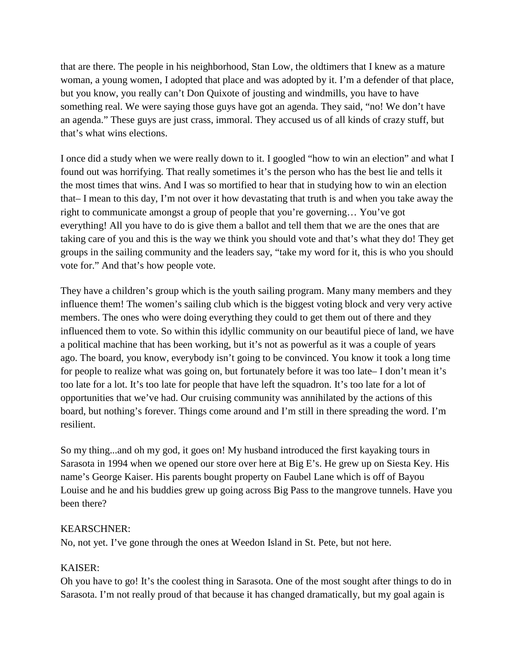that are there. The people in his neighborhood, Stan Low, the oldtimers that I knew as a mature woman, a young women, I adopted that place and was adopted by it. I'm a defender of that place, but you know, you really can't Don Quixote of jousting and windmills, you have to have something real. We were saying those guys have got an agenda. They said, "no! We don't have an agenda." These guys are just crass, immoral. They accused us of all kinds of crazy stuff, but that's what wins elections.

I once did a study when we were really down to it. I googled "how to win an election" and what I found out was horrifying. That really sometimes it's the person who has the best lie and tells it the most times that wins. And I was so mortified to hear that in studying how to win an election that– I mean to this day, I'm not over it how devastating that truth is and when you take away the right to communicate amongst a group of people that you're governing… You've got everything! All you have to do is give them a ballot and tell them that we are the ones that are taking care of you and this is the way we think you should vote and that's what they do! They get groups in the sailing community and the leaders say, "take my word for it, this is who you should vote for." And that's how people vote.

They have a children's group which is the youth sailing program. Many many members and they influence them! The women's sailing club which is the biggest voting block and very very active members. The ones who were doing everything they could to get them out of there and they influenced them to vote. So within this idyllic community on our beautiful piece of land, we have a political machine that has been working, but it's not as powerful as it was a couple of years ago. The board, you know, everybody isn't going to be convinced. You know it took a long time for people to realize what was going on, but fortunately before it was too late– I don't mean it's too late for a lot. It's too late for people that have left the squadron. It's too late for a lot of opportunities that we've had. Our cruising community was annihilated by the actions of this board, but nothing's forever. Things come around and I'm still in there spreading the word. I'm resilient.

So my thing...and oh my god, it goes on! My husband introduced the first kayaking tours in Sarasota in 1994 when we opened our store over here at Big E's. He grew up on Siesta Key. His name's George Kaiser. His parents bought property on Faubel Lane which is off of Bayou Louise and he and his buddies grew up going across Big Pass to the mangrove tunnels. Have you been there?

# KEARSCHNER:

No, not yet. I've gone through the ones at Weedon Island in St. Pete, but not here.

# KAISER:

Oh you have to go! It's the coolest thing in Sarasota. One of the most sought after things to do in Sarasota. I'm not really proud of that because it has changed dramatically, but my goal again is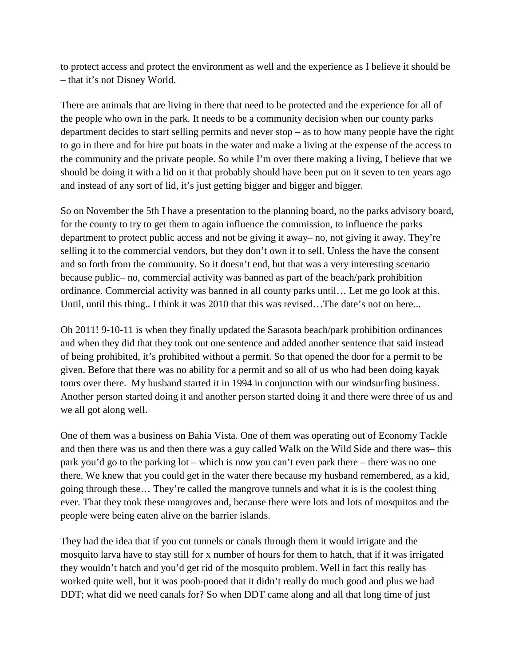to protect access and protect the environment as well and the experience as I believe it should be – that it's not Disney World.

There are animals that are living in there that need to be protected and the experience for all of the people who own in the park. It needs to be a community decision when our county parks department decides to start selling permits and never stop – as to how many people have the right to go in there and for hire put boats in the water and make a living at the expense of the access to the community and the private people. So while I'm over there making a living, I believe that we should be doing it with a lid on it that probably should have been put on it seven to ten years ago and instead of any sort of lid, it's just getting bigger and bigger and bigger.

So on November the 5th I have a presentation to the planning board, no the parks advisory board, for the county to try to get them to again influence the commission, to influence the parks department to protect public access and not be giving it away– no, not giving it away. They're selling it to the commercial vendors, but they don't own it to sell. Unless the have the consent and so forth from the community. So it doesn't end, but that was a very interesting scenario because public– no, commercial activity was banned as part of the beach/park prohibition ordinance. Commercial activity was banned in all county parks until… Let me go look at this. Until, until this thing.. I think it was 2010 that this was revised…The date's not on here...

Oh 2011! 9-10-11 is when they finally updated the Sarasota beach/park prohibition ordinances and when they did that they took out one sentence and added another sentence that said instead of being prohibited, it's prohibited without a permit. So that opened the door for a permit to be given. Before that there was no ability for a permit and so all of us who had been doing kayak tours over there. My husband started it in 1994 in conjunction with our windsurfing business. Another person started doing it and another person started doing it and there were three of us and we all got along well.

One of them was a business on Bahia Vista. One of them was operating out of Economy Tackle and then there was us and then there was a guy called Walk on the Wild Side and there was– this park you'd go to the parking lot – which is now you can't even park there – there was no one there. We knew that you could get in the water there because my husband remembered, as a kid, going through these… They're called the mangrove tunnels and what it is is the coolest thing ever. That they took these mangroves and, because there were lots and lots of mosquitos and the people were being eaten alive on the barrier islands.

They had the idea that if you cut tunnels or canals through them it would irrigate and the mosquito larva have to stay still for x number of hours for them to hatch, that if it was irrigated they wouldn't hatch and you'd get rid of the mosquito problem. Well in fact this really has worked quite well, but it was pooh-pooed that it didn't really do much good and plus we had DDT; what did we need canals for? So when DDT came along and all that long time of just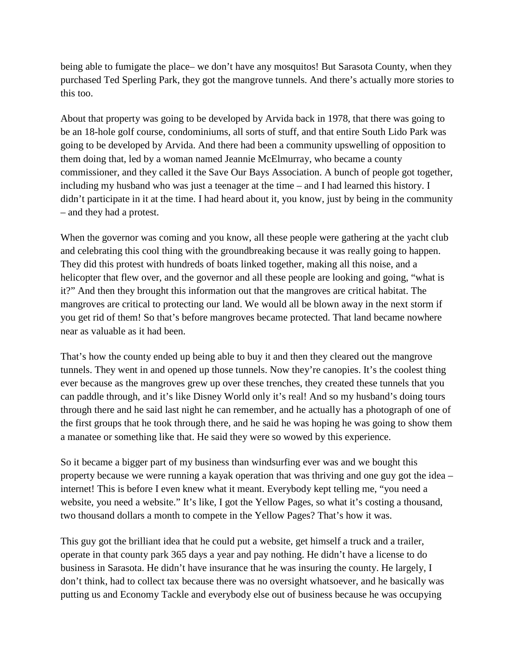being able to fumigate the place– we don't have any mosquitos! But Sarasota County, when they purchased Ted Sperling Park, they got the mangrove tunnels. And there's actually more stories to this too.

About that property was going to be developed by Arvida back in 1978, that there was going to be an 18-hole golf course, condominiums, all sorts of stuff, and that entire South Lido Park was going to be developed by Arvida. And there had been a community upswelling of opposition to them doing that, led by a woman named Jeannie McElmurray, who became a county commissioner, and they called it the Save Our Bays Association. A bunch of people got together, including my husband who was just a teenager at the time – and I had learned this history. I didn't participate in it at the time. I had heard about it, you know, just by being in the community – and they had a protest.

When the governor was coming and you know, all these people were gathering at the yacht club and celebrating this cool thing with the groundbreaking because it was really going to happen. They did this protest with hundreds of boats linked together, making all this noise, and a helicopter that flew over, and the governor and all these people are looking and going, "what is it?" And then they brought this information out that the mangroves are critical habitat. The mangroves are critical to protecting our land. We would all be blown away in the next storm if you get rid of them! So that's before mangroves became protected. That land became nowhere near as valuable as it had been.

That's how the county ended up being able to buy it and then they cleared out the mangrove tunnels. They went in and opened up those tunnels. Now they're canopies. It's the coolest thing ever because as the mangroves grew up over these trenches, they created these tunnels that you can paddle through, and it's like Disney World only it's real! And so my husband's doing tours through there and he said last night he can remember, and he actually has a photograph of one of the first groups that he took through there, and he said he was hoping he was going to show them a manatee or something like that. He said they were so wowed by this experience.

So it became a bigger part of my business than windsurfing ever was and we bought this property because we were running a kayak operation that was thriving and one guy got the idea – internet! This is before I even knew what it meant. Everybody kept telling me, "you need a website, you need a website." It's like, I got the Yellow Pages, so what it's costing a thousand, two thousand dollars a month to compete in the Yellow Pages? That's how it was.

This guy got the brilliant idea that he could put a website, get himself a truck and a trailer, operate in that county park 365 days a year and pay nothing. He didn't have a license to do business in Sarasota. He didn't have insurance that he was insuring the county. He largely, I don't think, had to collect tax because there was no oversight whatsoever, and he basically was putting us and Economy Tackle and everybody else out of business because he was occupying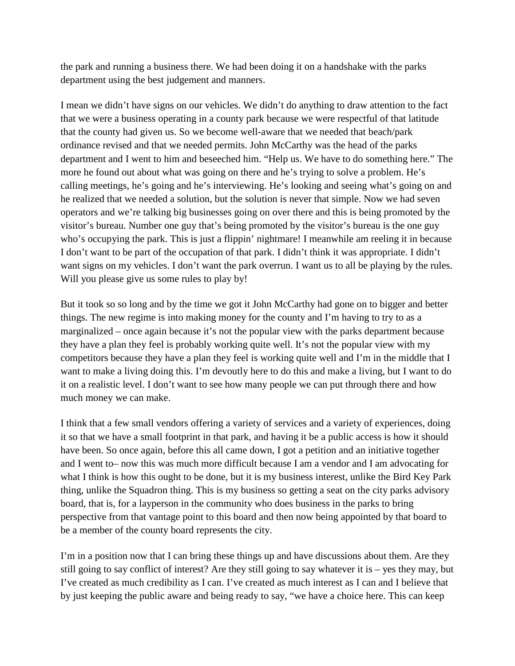the park and running a business there. We had been doing it on a handshake with the parks department using the best judgement and manners.

I mean we didn't have signs on our vehicles. We didn't do anything to draw attention to the fact that we were a business operating in a county park because we were respectful of that latitude that the county had given us. So we become well-aware that we needed that beach/park ordinance revised and that we needed permits. John McCarthy was the head of the parks department and I went to him and beseeched him. "Help us. We have to do something here." The more he found out about what was going on there and he's trying to solve a problem. He's calling meetings, he's going and he's interviewing. He's looking and seeing what's going on and he realized that we needed a solution, but the solution is never that simple. Now we had seven operators and we're talking big businesses going on over there and this is being promoted by the visitor's bureau. Number one guy that's being promoted by the visitor's bureau is the one guy who's occupying the park. This is just a flippin' nightmare! I meanwhile am reeling it in because I don't want to be part of the occupation of that park. I didn't think it was appropriate. I didn't want signs on my vehicles. I don't want the park overrun. I want us to all be playing by the rules. Will you please give us some rules to play by!

But it took so so long and by the time we got it John McCarthy had gone on to bigger and better things. The new regime is into making money for the county and I'm having to try to as a marginalized – once again because it's not the popular view with the parks department because they have a plan they feel is probably working quite well. It's not the popular view with my competitors because they have a plan they feel is working quite well and I'm in the middle that I want to make a living doing this. I'm devoutly here to do this and make a living, but I want to do it on a realistic level. I don't want to see how many people we can put through there and how much money we can make.

I think that a few small vendors offering a variety of services and a variety of experiences, doing it so that we have a small footprint in that park, and having it be a public access is how it should have been. So once again, before this all came down, I got a petition and an initiative together and I went to– now this was much more difficult because I am a vendor and I am advocating for what I think is how this ought to be done, but it is my business interest, unlike the Bird Key Park thing, unlike the Squadron thing. This is my business so getting a seat on the city parks advisory board, that is, for a layperson in the community who does business in the parks to bring perspective from that vantage point to this board and then now being appointed by that board to be a member of the county board represents the city.

I'm in a position now that I can bring these things up and have discussions about them. Are they still going to say conflict of interest? Are they still going to say whatever it is – yes they may, but I've created as much credibility as I can. I've created as much interest as I can and I believe that by just keeping the public aware and being ready to say, "we have a choice here. This can keep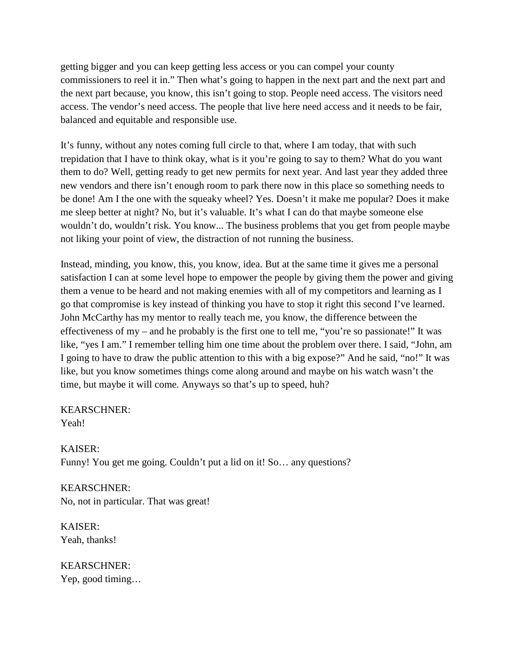getting bigger and you can keep getting less access or you can compel your county commissioners to reel it in." Then what's going to happen in the next part and the next part and the next part because, you know, this isn't going to stop. People need access. The visitors need access. The vendor's need access. The people that live here need access and it needs to be fair, balanced and equitable and responsible use.

It's funny, without any notes coming full circle to that, where I am today, that with such trepidation that I have to think okay, what is it you're going to say to them? What do you want them to do? Well, getting ready to get new permits for next year. And last year they added three new vendors and there isn't enough room to park there now in this place so something needs to be done! Am I the one with the squeaky wheel? Yes. Doesn't it make me popular? Does it make me sleep better at night? No, but it's valuable. It's what I can do that maybe someone else wouldn't do, wouldn't risk. You know... The business problems that you get from people maybe not liking your point of view, the distraction of not running the business.

Instead, minding, you know, this, you know, idea. But at the same time it gives me a personal satisfaction I can at some level hope to empower the people by giving them the power and giving them a venue to be heard and not making enemies with all of my competitors and learning as I go that compromise is key instead of thinking you have to stop it right this second I've learned. John McCarthy has my mentor to really teach me, you know, the difference between the effectiveness of my – and he probably is the first one to tell me, "you're so passionate!" It was like, "yes I am." I remember telling him one time about the problem over there. I said, "John, am I going to have to draw the public attention to this with a big expose?" And he said, "no!" It was like, but you know sometimes things come along around and maybe on his watch wasn't the time, but maybe it will come. Anyways so that's up to speed, huh?

# KEARSCHNER:

Yeah!

KAISER: Funny! You get me going. Couldn't put a lid on it! So... any questions?

KEARSCHNER: No, not in particular. That was great!

KAISER: Yeah, thanks!

KEARSCHNER: Yep, good timing…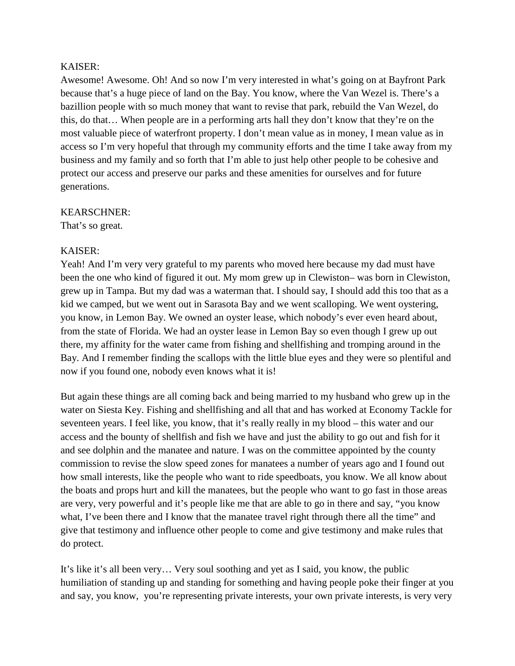### KAISER:

Awesome! Awesome. Oh! And so now I'm very interested in what's going on at Bayfront Park because that's a huge piece of land on the Bay. You know, where the Van Wezel is. There's a bazillion people with so much money that want to revise that park, rebuild the Van Wezel, do this, do that… When people are in a performing arts hall they don't know that they're on the most valuable piece of waterfront property. I don't mean value as in money, I mean value as in access so I'm very hopeful that through my community efforts and the time I take away from my business and my family and so forth that I'm able to just help other people to be cohesive and protect our access and preserve our parks and these amenities for ourselves and for future generations.

#### KEARSCHNER:

That's so great.

# KAISER:

Yeah! And I'm very very grateful to my parents who moved here because my dad must have been the one who kind of figured it out. My mom grew up in Clewiston– was born in Clewiston, grew up in Tampa. But my dad was a waterman that. I should say, I should add this too that as a kid we camped, but we went out in Sarasota Bay and we went scalloping. We went oystering, you know, in Lemon Bay. We owned an oyster lease, which nobody's ever even heard about, from the state of Florida. We had an oyster lease in Lemon Bay so even though I grew up out there, my affinity for the water came from fishing and shellfishing and tromping around in the Bay. And I remember finding the scallops with the little blue eyes and they were so plentiful and now if you found one, nobody even knows what it is!

But again these things are all coming back and being married to my husband who grew up in the water on Siesta Key. Fishing and shellfishing and all that and has worked at Economy Tackle for seventeen years. I feel like, you know, that it's really really in my blood – this water and our access and the bounty of shellfish and fish we have and just the ability to go out and fish for it and see dolphin and the manatee and nature. I was on the committee appointed by the county commission to revise the slow speed zones for manatees a number of years ago and I found out how small interests, like the people who want to ride speedboats, you know. We all know about the boats and props hurt and kill the manatees, but the people who want to go fast in those areas are very, very powerful and it's people like me that are able to go in there and say, "you know what, I've been there and I know that the manatee travel right through there all the time" and give that testimony and influence other people to come and give testimony and make rules that do protect.

It's like it's all been very… Very soul soothing and yet as I said, you know, the public humiliation of standing up and standing for something and having people poke their finger at you and say, you know, you're representing private interests, your own private interests, is very very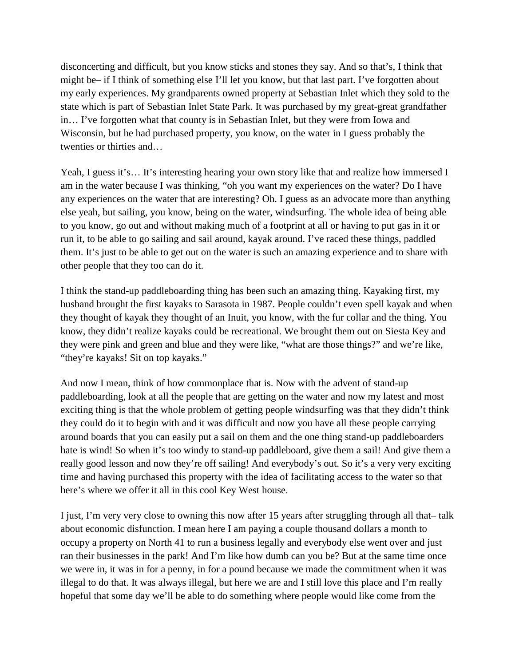disconcerting and difficult, but you know sticks and stones they say. And so that's, I think that might be– if I think of something else I'll let you know, but that last part. I've forgotten about my early experiences. My grandparents owned property at Sebastian Inlet which they sold to the state which is part of Sebastian Inlet State Park. It was purchased by my great-great grandfather in… I've forgotten what that county is in Sebastian Inlet, but they were from Iowa and Wisconsin, but he had purchased property, you know, on the water in I guess probably the twenties or thirties and…

Yeah, I guess it's... It's interesting hearing your own story like that and realize how immersed I am in the water because I was thinking, "oh you want my experiences on the water? Do I have any experiences on the water that are interesting? Oh. I guess as an advocate more than anything else yeah, but sailing, you know, being on the water, windsurfing. The whole idea of being able to you know, go out and without making much of a footprint at all or having to put gas in it or run it, to be able to go sailing and sail around, kayak around. I've raced these things, paddled them. It's just to be able to get out on the water is such an amazing experience and to share with other people that they too can do it.

I think the stand-up paddleboarding thing has been such an amazing thing. Kayaking first, my husband brought the first kayaks to Sarasota in 1987. People couldn't even spell kayak and when they thought of kayak they thought of an Inuit, you know, with the fur collar and the thing. You know, they didn't realize kayaks could be recreational. We brought them out on Siesta Key and they were pink and green and blue and they were like, "what are those things?" and we're like, "they're kayaks! Sit on top kayaks."

And now I mean, think of how commonplace that is. Now with the advent of stand-up paddleboarding, look at all the people that are getting on the water and now my latest and most exciting thing is that the whole problem of getting people windsurfing was that they didn't think they could do it to begin with and it was difficult and now you have all these people carrying around boards that you can easily put a sail on them and the one thing stand-up paddleboarders hate is wind! So when it's too windy to stand-up paddleboard, give them a sail! And give them a really good lesson and now they're off sailing! And everybody's out. So it's a very very exciting time and having purchased this property with the idea of facilitating access to the water so that here's where we offer it all in this cool Key West house.

I just, I'm very very close to owning this now after 15 years after struggling through all that– talk about economic disfunction. I mean here I am paying a couple thousand dollars a month to occupy a property on North 41 to run a business legally and everybody else went over and just ran their businesses in the park! And I'm like how dumb can you be? But at the same time once we were in, it was in for a penny, in for a pound because we made the commitment when it was illegal to do that. It was always illegal, but here we are and I still love this place and I'm really hopeful that some day we'll be able to do something where people would like come from the